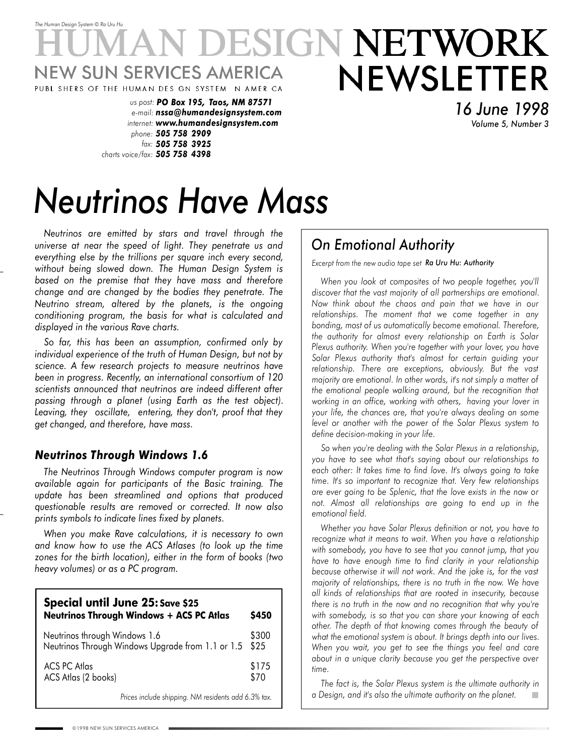# *The Human Design System* © *Ra Uru Hu* ESIGN NETWORK NEWSLETTER W SUN SERVICES AMERICA PUBL SHERS OF THE HUMAN DES GN SYSTEM NAMER CA

*us post: PO Box 195, Taos, NM 87571 e-mail: nssa@humandesignsystem.com internet: www.humandesignsystem.com phone: 505 758 2909 fax: 505 758 3925 charts voice/fax: 505 758 4398*

*16 June 1998 Volume 5, Number 3*

# *Neutrinos Have Mass*

*Neutrinos are emitted by stars and travel through the universe at near the speed of light. They penetrate us and everything else by the trillions per square inch every second, without being slowed down. The Human Design System is based on the premise that they have mass and therefore change and are changed by the bodies they penetrate. The Neutrino stream, altered by the planets, is the ongoing conditioning program, the basis for what is calculated and displayed in the various Rave charts.*

*So far, this has been an assumption, confirmed only by individual experience of the truth of Human Design, but not by science. A few research projects to measure neutrinos have been in progress. Recently, an international consortium of 120 scientists announced that neutrinos are indeed different after passing through a planet (using Earth as the test object). Leaving, they oscillate, entering, they don't, proof that they get changed, and therefore, have mass.*

### *Neutrinos Through Windows 1.6*

*The Neutrinos Through Windows computer program is now available again for participants of the Basic training. The update has been streamlined and options that produced questionable results are removed or corrected. It now also prints symbols to indicate lines fixed by planets.*

*When you make Rave calculations, it is necessary to own and know how to use the ACS Atlases (to look up the time zones for the birth location), either in the form of books (two heavy volumes) or as a PC program.*

| Special until June 25: Save \$25<br><b>Neutrinos Through Windows + ACS PC Atlas</b> | \$450         |  |  |  |
|-------------------------------------------------------------------------------------|---------------|--|--|--|
| Neutrinos through Windows 1.6<br>Neutrinos Through Windows Upgrade from 1.1 or 1.5  |               |  |  |  |
| <b>ACS PC Atlas</b><br>ACS Atlas (2 books)                                          | \$175<br>\$70 |  |  |  |
| Prices include shipping. NM residents add 6.3% tax.                                 |               |  |  |  |

# *On Emotional Authority*

*Excerpt from the new audio tape set Ra Uru Hu: Authority*

*When you look at composites of two people together, you'll discover that the vast majority of all partnerships are emotional. Now think about the chaos and pain that we have in our relationships. The moment that we come together in any bonding, most of us automatically become emotional. Therefore, the authority for almost every relationship on Earth is Solar Plexus authority. When you're together with your lover, you have Solar Plexus authority that's almost for certain guiding your relationship. There are exceptions, obviously. But the vast majority are emotional. In other words, it's not simply a matter of the emotional people walking around, but the recognition that working in an office, working with others, having your lover in your life, the chances are, that you're always dealing on some level or another with the power of the Solar Plexus system to define decision-making in your life.*

*So when you're dealing with the Solar Plexus in a relationship, you have to see what that's saying about our relationships to each other: It takes time to find love. It's always going to take time. It's so important to recognize that. Very few relationships are ever going to be Splenic, that the love exists in the now or not. Almost all relationships are going to end up in the emotional field.*

*Whether you have Solar Plexus definition or not, you have to recognize what it means to wait. When you have a relationship with somebody, you have to see that you cannot jump, that you have to have enough time to find clarity in your relationship because otherwise it will not work. And the joke is, for the vast majority of relationships, there is no truth in the now. We have all kinds of relationships that are rooted in insecurity, because there is no truth in the now and no recognition that why you're with somebody, is so that you can share your knowing of each other. The depth of that knowing comes through the beauty of what the emotional system is about. It brings depth into our lives. When you wait, you get to see the things you feel and care about in a unique clarity because you get the perspective over time.*

*The fact is, the Solar Plexus system is the ultimate authority in a Design, and it's also the ultimate authority on the planet.*